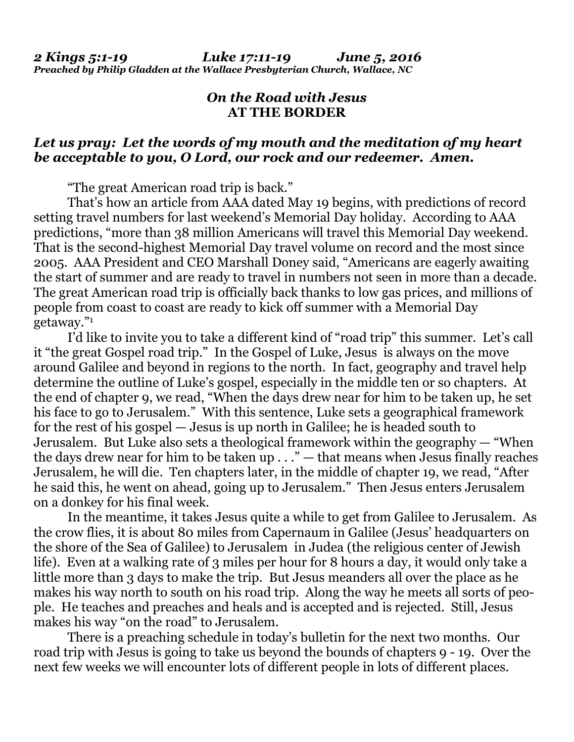## *On the Road with Jesus*  **AT THE BORDER**

## *Let us pray: Let the words of my mouth and the meditation of my heart be acceptable to you, O Lord, our rock and our redeemer. Amen.*

"The great American road trip is back."

 That's how an article from AAA dated May 19 begins, with predictions of record setting travel numbers for last weekend's Memorial Day holiday. According to AAA predictions, "more than 38 million Americans will travel this Memorial Day weekend. That is the second-highest Memorial Day travel volume on record and the most since 2005. AAA President and CEO Marshall Doney said, "Americans are eagerly awaiting the start of summer and are ready to travel in numbers not seen in more than a decade. The great American road trip is officially back thanks to low gas prices, and millions of people from coast to coast are ready to kick off summer with a Memorial Day getaway."

 I'd like to invite you to take a different kind of "road trip" this summer. Let's call it "the great Gospel road trip." In the Gospel of Luke, Jesus is always on the move around Galilee and beyond in regions to the north. In fact, geography and travel help determine the outline of Luke's gospel, especially in the middle ten or so chapters. At the end of chapter 9, we read, "When the days drew near for him to be taken up, he set his face to go to Jerusalem." With this sentence, Luke sets a geographical framework for the rest of his gospel — Jesus is up north in Galilee; he is headed south to Jerusalem. But Luke also sets a theological framework within the geography — "When the days drew near for him to be taken up  $\dots$ " — that means when Jesus finally reaches Jerusalem, he will die. Ten chapters later, in the middle of chapter 19, we read, "After he said this, he went on ahead, going up to Jerusalem." Then Jesus enters Jerusalem on a donkey for his final week.

 In the meantime, it takes Jesus quite a while to get from Galilee to Jerusalem. As the crow flies, it is about 80 miles from Capernaum in Galilee (Jesus' headquarters on the shore of the Sea of Galilee) to Jerusalem in Judea (the religious center of Jewish life). Even at a walking rate of 3 miles per hour for 8 hours a day, it would only take a little more than 3 days to make the trip. But Jesus meanders all over the place as he makes his way north to south on his road trip. Along the way he meets all sorts of people. He teaches and preaches and heals and is accepted and is rejected. Still, Jesus makes his way "on the road" to Jerusalem.

 There is a preaching schedule in today's bulletin for the next two months. Our road trip with Jesus is going to take us beyond the bounds of chapters 9 - 19. Over the next few weeks we will encounter lots of different people in lots of different places.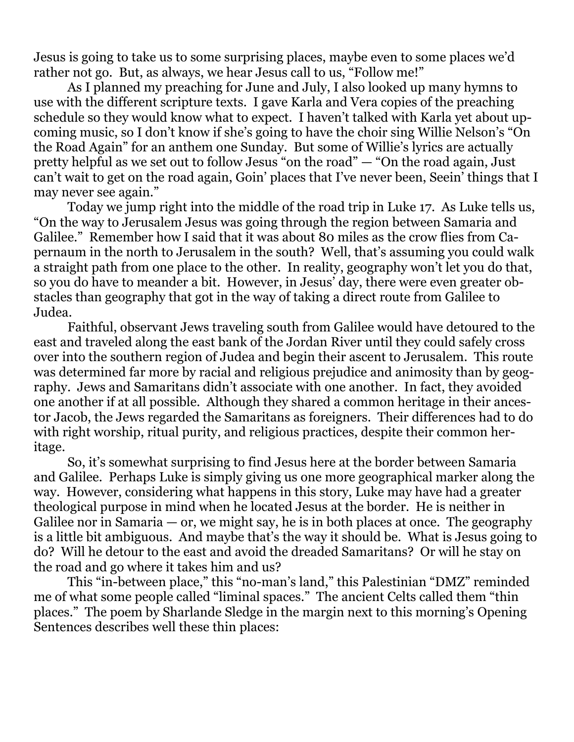Jesus is going to take us to some surprising places, maybe even to some places we'd rather not go. But, as always, we hear Jesus call to us, "Follow me!"

 As I planned my preaching for June and July, I also looked up many hymns to use with the different scripture texts. I gave Karla and Vera copies of the preaching schedule so they would know what to expect. I haven't talked with Karla yet about upcoming music, so I don't know if she's going to have the choir sing Willie Nelson's "On the Road Again" for an anthem one Sunday. But some of Willie's lyrics are actually pretty helpful as we set out to follow Jesus "on the road" — "On the road again, Just can't wait to get on the road again, Goin' places that I've never been, Seein' things that I may never see again."

 Today we jump right into the middle of the road trip in Luke 17. As Luke tells us, "On the way to Jerusalem Jesus was going through the region between Samaria and Galilee." Remember how I said that it was about 80 miles as the crow flies from Capernaum in the north to Jerusalem in the south? Well, that's assuming you could walk a straight path from one place to the other. In reality, geography won't let you do that, so you do have to meander a bit. However, in Jesus' day, there were even greater obstacles than geography that got in the way of taking a direct route from Galilee to Judea.

 Faithful, observant Jews traveling south from Galilee would have detoured to the east and traveled along the east bank of the Jordan River until they could safely cross over into the southern region of Judea and begin their ascent to Jerusalem. This route was determined far more by racial and religious prejudice and animosity than by geography. Jews and Samaritans didn't associate with one another. In fact, they avoided one another if at all possible. Although they shared a common heritage in their ancestor Jacob, the Jews regarded the Samaritans as foreigners. Their differences had to do with right worship, ritual purity, and religious practices, despite their common heritage.

 So, it's somewhat surprising to find Jesus here at the border between Samaria and Galilee. Perhaps Luke is simply giving us one more geographical marker along the way. However, considering what happens in this story, Luke may have had a greater theological purpose in mind when he located Jesus at the border. He is neither in Galilee nor in Samaria  $-$  or, we might say, he is in both places at once. The geography is a little bit ambiguous. And maybe that's the way it should be. What is Jesus going to do? Will he detour to the east and avoid the dreaded Samaritans? Or will he stay on the road and go where it takes him and us?

 This "in-between place," this "no-man's land," this Palestinian "DMZ" reminded me of what some people called "liminal spaces." The ancient Celts called them "thin places." The poem by Sharlande Sledge in the margin next to this morning's Opening Sentences describes well these thin places: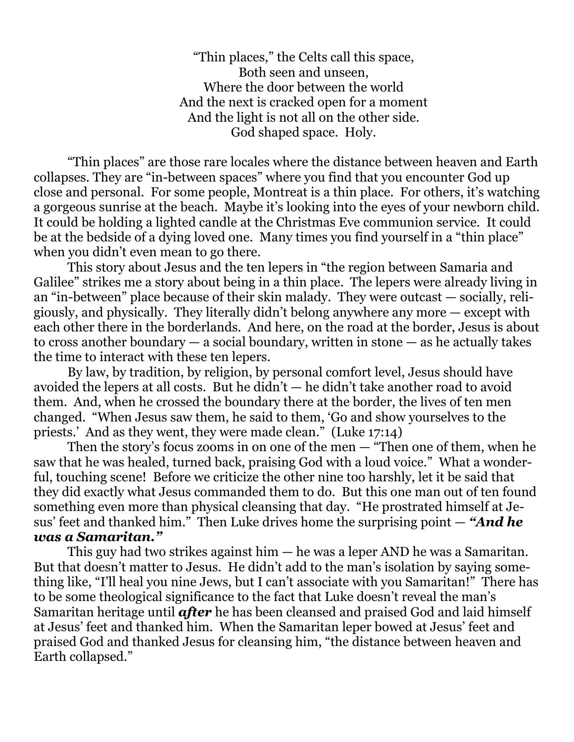"Thin places," the Celts call this space, Both seen and unseen, Where the door between the world And the next is cracked open for a moment And the light is not all on the other side. God shaped space. Holy.

 "Thin places" are those rare locales where the distance between heaven and Earth collapses. They are "in-between spaces" where you find that you encounter God up close and personal. For some people, Montreat is a thin place. For others, it's watching a gorgeous sunrise at the beach. Maybe it's looking into the eyes of your newborn child. It could be holding a lighted candle at the Christmas Eve communion service. It could be at the bedside of a dying loved one. Many times you find yourself in a "thin place" when you didn't even mean to go there.

 This story about Jesus and the ten lepers in "the region between Samaria and Galilee" strikes me a story about being in a thin place. The lepers were already living in an "in-between" place because of their skin malady. They were outcast — socially, religiously, and physically. They literally didn't belong anywhere any more — except with each other there in the borderlands. And here, on the road at the border, Jesus is about to cross another boundary — a social boundary, written in stone — as he actually takes the time to interact with these ten lepers.

 By law, by tradition, by religion, by personal comfort level, Jesus should have avoided the lepers at all costs. But he didn't — he didn't take another road to avoid them. And, when he crossed the boundary there at the border, the lives of ten men changed. "When Jesus saw them, he said to them, 'Go and show yourselves to the priests.' And as they went, they were made clean." (Luke 17:14)

 Then the story's focus zooms in on one of the men — "Then one of them, when he saw that he was healed, turned back, praising God with a loud voice." What a wonderful, touching scene! Before we criticize the other nine too harshly, let it be said that they did exactly what Jesus commanded them to do. But this one man out of ten found something even more than physical cleansing that day. "He prostrated himself at Jesus' feet and thanked him." Then Luke drives home the surprising point — *"And he was a Samaritan."* 

This guy had two strikes against him — he was a leper AND he was a Samaritan. But that doesn't matter to Jesus. He didn't add to the man's isolation by saying something like, "I'll heal you nine Jews, but I can't associate with you Samaritan!" There has to be some theological significance to the fact that Luke doesn't reveal the man's Samaritan heritage until *after* he has been cleansed and praised God and laid himself at Jesus' feet and thanked him. When the Samaritan leper bowed at Jesus' feet and praised God and thanked Jesus for cleansing him, "the distance between heaven and Earth collapsed."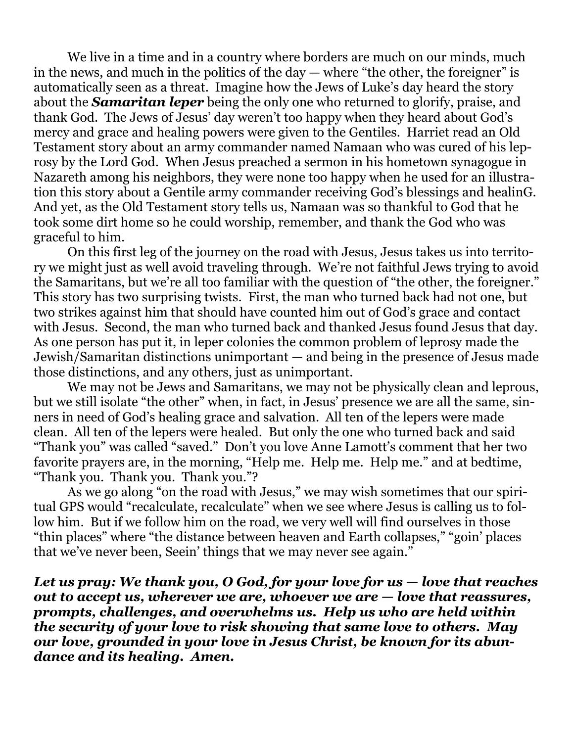We live in a time and in a country where borders are much on our minds, much in the news, and much in the politics of the day  $-$  where "the other, the foreigner" is automatically seen as a threat. Imagine how the Jews of Luke's day heard the story about the *Samaritan leper* being the only one who returned to glorify, praise, and thank God. The Jews of Jesus' day weren't too happy when they heard about God's mercy and grace and healing powers were given to the Gentiles. Harriet read an Old Testament story about an army commander named Namaan who was cured of his leprosy by the Lord God. When Jesus preached a sermon in his hometown synagogue in Nazareth among his neighbors, they were none too happy when he used for an illustration this story about a Gentile army commander receiving God's blessings and healinG. And yet, as the Old Testament story tells us, Namaan was so thankful to God that he took some dirt home so he could worship, remember, and thank the God who was graceful to him.

 On this first leg of the journey on the road with Jesus, Jesus takes us into territory we might just as well avoid traveling through. We're not faithful Jews trying to avoid the Samaritans, but we're all too familiar with the question of "the other, the foreigner." This story has two surprising twists. First, the man who turned back had not one, but two strikes against him that should have counted him out of God's grace and contact with Jesus. Second, the man who turned back and thanked Jesus found Jesus that day. As one person has put it, in leper colonies the common problem of leprosy made the Jewish/Samaritan distinctions unimportant — and being in the presence of Jesus made those distinctions, and any others, just as unimportant.

 We may not be Jews and Samaritans, we may not be physically clean and leprous, but we still isolate "the other" when, in fact, in Jesus' presence we are all the same, sinners in need of God's healing grace and salvation. All ten of the lepers were made clean. All ten of the lepers were healed. But only the one who turned back and said "Thank you" was called "saved." Don't you love Anne Lamott's comment that her two favorite prayers are, in the morning, "Help me. Help me. Help me." and at bedtime, "Thank you. Thank you. Thank you."?

 As we go along "on the road with Jesus," we may wish sometimes that our spiritual GPS would "recalculate, recalculate" when we see where Jesus is calling us to follow him. But if we follow him on the road, we very well will find ourselves in those "thin places" where "the distance between heaven and Earth collapses," "goin' places that we've never been, Seein' things that we may never see again."

*Let us pray: We thank you, O God, for your love for us — love that reaches out to accept us, wherever we are, whoever we are — love that reassures, prompts, challenges, and overwhelms us. Help us who are held within the security of your love to risk showing that same love to others. May our love, grounded in your love in Jesus Christ, be known for its abundance and its healing. Amen.*